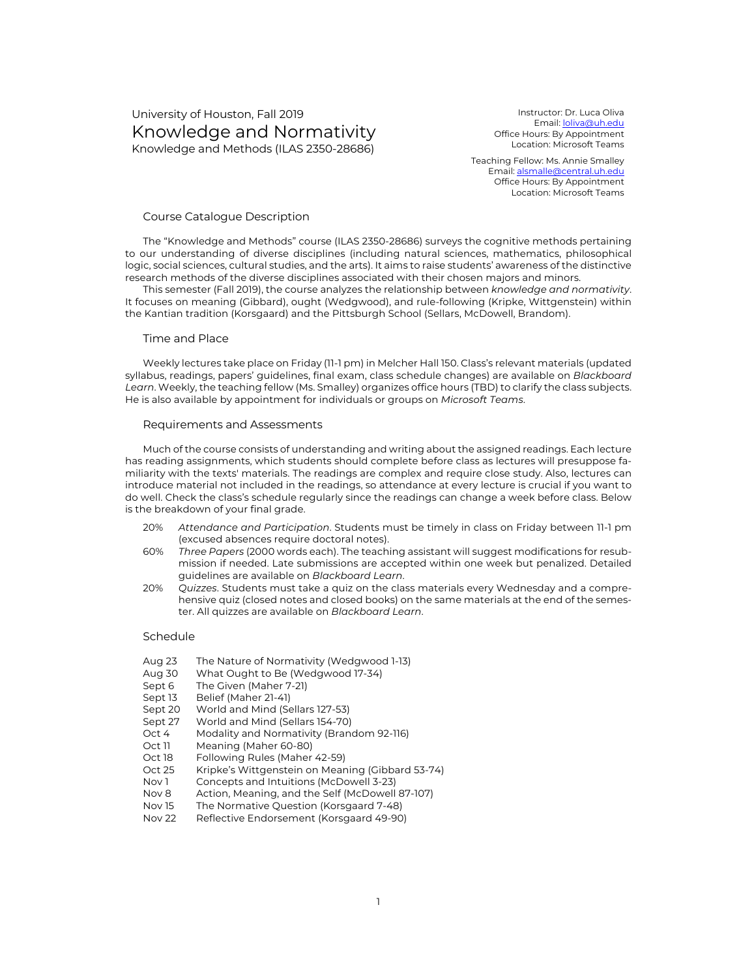# University of Houston, Fall 2019 Knowledge and Normativity Knowledge and Methods (ILAS 2350-28686)

Instructor: Dr. Luca Oliva Email: loliva@uh.edu Office Hours: By Appointment Location: Microsoft Teams

Teaching Fellow: Ms. Annie Smalley Email: alsmalle@central.uh.edu Office Hours: By Appointment Location: Microsoft Teams

#### Course Catalogue Description

The "Knowledge and Methods" course (ILAS 2350-28686) surveys the cognitive methods pertaining to our understanding of diverse disciplines (including natural sciences, mathematics, philosophical logic, social sciences, cultural studies, and the arts). It aims to raise students' awareness of the distinctive research methods of the diverse disciplines associated with their chosen majors and minors.

This semester (Fall 2019), the course analyzes the relationship between *knowledge and normativity*. It focuses on meaning (Gibbard), ought (Wedgwood), and rule-following (Kripke, Wittgenstein) within the Kantian tradition (Korsgaard) and the Pittsburgh School (Sellars, McDowell, Brandom).

#### Time and Place

Weekly lectures take place on Friday (11-1 pm) in Melcher Hall 150. Class's relevant materials (updated syllabus, readings, papers' guidelines, final exam, class schedule changes) are available on *Blackboard Learn*. Weekly, the teaching fellow (Ms. Smalley) organizes office hours (TBD) to clarify the class subjects. He is also available by appointment for individuals or groups on *Microsoft Teams*.

#### Requirements and Assessments

Much of the course consists of understanding and writing about the assigned readings. Each lecture has reading assignments, which students should complete before class as lectures will presuppose familiarity with the texts' materials. The readings are complex and require close study. Also, lectures can introduce material not included in the readings, so attendance at every lecture is crucial if you want to do well. Check the class's schedule regularly since the readings can change a week before class. Below is the breakdown of your final grade.

- 20% *Attendance and Participation*. Students must be timely in class on Friday between 11-1 pm (excused absences require doctoral notes).
- 60% *Three Papers* (2000 words each). The teaching assistant will suggest modifications for resubmission if needed. Late submissions are accepted within one week but penalized. Detailed guidelines are available on *Blackboard Learn*.
- 20% *Quizzes*. Students must take a quiz on the class materials every Wednesday and a comprehensive quiz (closed notes and closed books) on the same materials at the end of the semester. All quizzes are available on *Blackboard Learn*.

#### Schedule

- Aug 23 The Nature of Normativity (Wedgwood 1-13)
- Aug 30 What Ought to Be (Wedgwood 17-34)<br>Sept 6 The Given (Maher 7-21)
- The Given (Maher 7-21)
- Sept 13 Belief (Maher 21-41)
- Sept 20 World and Mind (Sellars 127-53)
- Sept 27 World and Mind (Sellars 154-70)
- Oct 4 Modality and Normativity (Brandom 92-116)
- Oct 11 Meaning (Maher 60-80)
- Oct 18 Following Rules (Maher 42-59)
- Oct 25 Kripke's Wittgenstein on Meaning (Gibbard 53-74)
- Nov 1 Concepts and Intuitions (McDowell 3-23)
- Nov 8 Action, Meaning, and the Self (McDowell 87-107)
- Nov 15 The Normative Question (Korsgaard 7-48)
- Nov 22 Reflective Endorsement (Korsgaard 49-90)